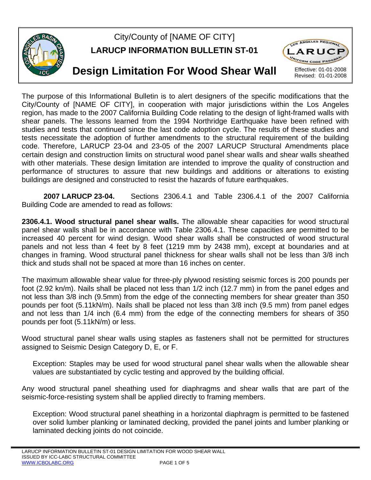

## City/County of [NAME OF CITY] **LARUCP INFORMATION BULLETIN ST-01**

# **Design Limitation For Wood Shear Wall** Effective: 01-01-2008



The purpose of this Informational Bulletin is to alert designers of the specific modifications that the City/County of [NAME OF CITY], in cooperation with major jurisdictions within the Los Angeles region, has made to the 2007 California Building Code relating to the design of light-framed walls with shear panels. The lessons learned from the 1994 Northridge Earthquake have been refined with studies and tests that continued since the last code adoption cycle. The results of these studies and tests necessitate the adoption of further amendments to the structural requirement of the building code. Therefore, LARUCP 23-04 and 23-05 of the 2007 LARUCP Structural Amendments place certain design and construction limits on structural wood panel shear walls and shear walls sheathed with other materials. These design limitation are intended to improve the quality of construction and performance of structures to assure that new buildings and additions or alterations to existing buildings are designed and constructed to resist the hazards of future earthquakes.

**2007 LARUCP 23-04.** Sections 2306.4.1 and Table 2306.4.1 of the 2007 California Building Code are amended to read as follows:

**2306.4.1. Wood structural panel shear walls.** The allowable shear capacities for wood structural panel shear walls shall be in accordance with Table 2306.4.1. These capacities are permitted to be increased 40 percent for wind design. Wood shear walls shall be constructed of wood structural panels and not less than 4 feet by 8 feet (1219 mm by 2438 mm), except at boundaries and at changes in framing. Wood structural panel thickness for shear walls shall not be less than 3/8 inch thick and studs shall not be spaced at more than 16 inches on center.

The maximum allowable shear value for three-ply plywood resisting seismic forces is 200 pounds per foot (2.92 kn/m). Nails shall be placed not less than 1/2 inch (12.7 mm) in from the panel edges and not less than 3/8 inch (9.5mm) from the edge of the connecting members for shear greater than 350 pounds per foot (5.11kN/m). Nails shall be placed not less than 3/8 inch (9.5 mm) from panel edges and not less than 1/4 inch (6.4 mm) from the edge of the connecting members for shears of 350 pounds per foot (5.11kN/m) or less.

Wood structural panel shear walls using staples as fasteners shall not be permitted for structures assigned to Seismic Design Category D, E, or F.

Exception: Staples may be used for wood structural panel shear walls when the allowable shear values are substantiated by cyclic testing and approved by the building official.

Any wood structural panel sheathing used for diaphragms and shear walls that are part of the seismic-force-resisting system shall be applied directly to framing members.

Exception: Wood structural panel sheathing in a horizontal diaphragm is permitted to be fastened over solid lumber planking or laminated decking, provided the panel joints and lumber planking or laminated decking joints do not coincide.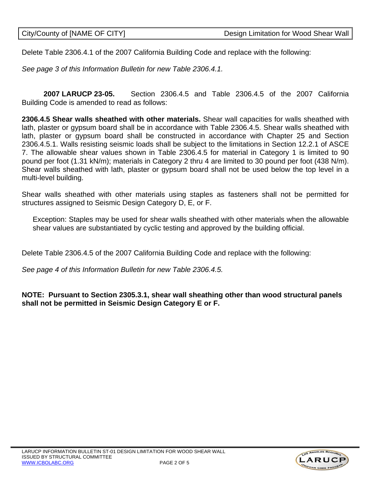Delete Table 2306.4.1 of the 2007 California Building Code and replace with the following:

*See page 3 of this Information Bulletin for new Table 2306.4.1.* 

**2007 LARUCP 23-05.** Section 2306.4.5 and Table 2306.4.5 of the 2007 California Building Code is amended to read as follows:

**2306.4.5 Shear walls sheathed with other materials.** Shear wall capacities for walls sheathed with lath, plaster or gypsum board shall be in accordance with Table 2306.4.5. Shear walls sheathed with lath, plaster or gypsum board shall be constructed in accordance with Chapter 25 and Section 2306.4.5.1. Walls resisting seismic loads shall be subject to the limitations in Section 12.2.1 of ASCE 7. The allowable shear values shown in Table 2306.4.5 for material in Category 1 is limited to 90 pound per foot (1.31 kN/m); materials in Category 2 thru 4 are limited to 30 pound per foot (438 N/m). Shear walls sheathed with lath, plaster or gypsum board shall not be used below the top level in a multi-level building.

Shear walls sheathed with other materials using staples as fasteners shall not be permitted for structures assigned to Seismic Design Category D, E, or F.

Exception: Staples may be used for shear walls sheathed with other materials when the allowable shear values are substantiated by cyclic testing and approved by the building official.

Delete Table 2306.4.5 of the 2007 California Building Code and replace with the following:

*See page 4 of this Information Bulletin for new Table 2306.4.5.* 

**NOTE: Pursuant to Section 2305.3.1, shear wall sheathing other than wood structural panels shall not be permitted in Seismic Design Category E or F.**

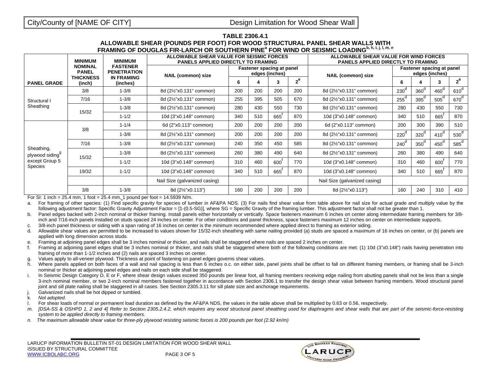#### **TABLE 2306.4.1 ALLOWABLE SHEAR (POUNDS PER FOOT) FOR WOOD STRUCTURAL PANEL SHEAR WALLS WITH FRAMING OF DOUGLAS FIR-LARCH OR SOUTHERN PINEa FOR WIND OR SEISMIC LOADINGb, h, I, j, l,** *m, n*

|                                                                        | <b>MINIMUM</b><br><b>NOMINAL</b><br><b>PANEL</b> | <b>MINIMUM</b><br><b>FASTENER</b><br><b>PENETRATION</b> | ALLOWABLE SHEAR VALUE FOR SEISMIC FORCES<br><b>PANELS APPLIED DIRECTLY TO FRAMING</b> |                                             |     |     |       | ALLOWABLE SHEAR VALUE FOR WIND FORCES<br><b>PANELS APPLIED DIRECTLY TO FRAMING</b> |                                             |               |                  |                  |
|------------------------------------------------------------------------|--------------------------------------------------|---------------------------------------------------------|---------------------------------------------------------------------------------------|---------------------------------------------|-----|-----|-------|------------------------------------------------------------------------------------|---------------------------------------------|---------------|------------------|------------------|
|                                                                        |                                                  |                                                         | <b>NAIL (common) size</b>                                                             | Fastener spacing at panel<br>edges (inches) |     |     |       | <b>NAIL (common) size</b>                                                          | Fastener spacing at panel<br>edges (inches) |               |                  |                  |
| <b>PANEL GRADE</b>                                                     | <b>THICKNESS</b><br>(inch)                       | <b>IN FRAMING</b><br>(inches)                           |                                                                                       | 6                                           | 4   |     | $2^e$ |                                                                                    | 6                                           |               | 3                | $2^e$            |
| Structural I<br>Sheathing                                              | 3/8                                              | $1 - 3/8$                                               | 8d (2½"x0.131" common)                                                                | 200                                         | 200 | 200 | 200   | 8d (21/2"x0.131" common)                                                           | 230 <sup>d</sup>                            | $360^\circ$   | 460 <sup>d</sup> | 610 <sup>d</sup> |
|                                                                        | 7/16                                             | $1 - 3/8$                                               | 8d (2½"x0.131" common)                                                                | 255                                         | 395 | 505 | 670   | 8d (21/2"x0.131" common)                                                           | $255^d$                                     | $395^{\circ}$ | $505^d$          | $670^d$          |
|                                                                        | 15/32                                            | $1 - 3/8$                                               | 8d (2½"x0.131" common)                                                                | 280                                         | 430 | 550 | 730   | 8d (21/2"x0.131" common)                                                           | 280                                         | 430           | 550              | 730              |
|                                                                        |                                                  | $1 - 1/2$                                               | 10d (3"x0.148" common)                                                                | 340                                         | 510 | 665 | 870   | 10d (3"x0.148" common)                                                             | 340                                         | 510           | 665              | 870              |
| Sheathing,<br>plywood siding <sup>9</sup><br>except Group 5<br>Species | 3/8                                              | $1 - 1/4$                                               | 6d (2"x0.113" common)                                                                 | 200                                         | 200 | 200 | 200   | 6d (2"x0.113" common)                                                              | 200                                         | 300           | 390              | 510              |
|                                                                        |                                                  | $1 - 3/8$                                               | 8d (2½"x0.131" common)                                                                | 200                                         | 200 | 200 | 200   | 8d (2½"x0.131" common)                                                             | 220 <sup>d</sup>                            | $320^\circ$   | 410 <sup>d</sup> | 530 <sup>d</sup> |
|                                                                        | 7/16                                             | $1 - 3/8$                                               | 8d (21/2"x0.131" common)                                                              | 240                                         | 350 | 450 | 585   | 8d (21/2"x0.131" common)                                                           | $240^d$                                     | $350^\circ$   | $450^d$          | $585^d$          |
|                                                                        | 15/32                                            | $1 - 3/8$                                               | 8d (21/2"x0.131" common)                                                              | 260                                         | 380 | 490 | 640   | 8d (21/2"x0.131" common)                                                           | 260                                         | 380           | 490              | 640              |
|                                                                        |                                                  | $1 - 1/2$                                               | 10d (3"x0.148" common)                                                                | 310                                         | 460 | 600 | 770   | 10d (3"x0.148" common)                                                             | 310                                         | 460           | 600              | 770              |
|                                                                        | 19/32                                            | $1 - 1/2$                                               | 10d (3"x0.148" common)                                                                | 340                                         | 510 | 665 | 870   | 10d (3"x0.148" common)                                                             | 340                                         | 510           | 665              | 870              |
|                                                                        |                                                  |                                                         | Nail Size (galvanized casing)                                                         |                                             |     |     |       | Nail Size (galvanized casing)                                                      |                                             |               |                  |                  |
|                                                                        | 3/8                                              | $1 - 3/8$                                               | 8d (21/2"x0.113")                                                                     | 160                                         | 200 | 200 | 200   | 8d (21/2"x0.113")                                                                  | 160                                         | 240           | 310              | 410              |

For SI: 1 inch =  $25.4$  mm, 1 foot =  $25.4$  mm, 1 pound per foot =  $14.5939$  N/m.

a. For framing of other species: (1) Find specific gravity for species of lumber in AF&PA NDS. (3) For nails find shear value from table above for nail size for actual grade and multiply value by the following adjustment factor: Specific Gravity Adjustment Factor = [1-(0.5-SG)], where SG = Specific Gravity of the framing lumber. This adjustment factor shall not be greater than 1.

b. Panel edges backed with 2-inch nominal or thicker framing. Install panels either horizontally or vertically. Space fasteners maximum 6 inches on center along intermediate framing members for 3/8 inch and 7/16-inch panels installed on studs spaced 24 inches on center. For other conditions and panel thickness, space fasteners maximum 12 inches on center on intermediate supports.

c. 3/8-inch panel thickness or siding with a span rating of 16 inches on center is the minimum recommended where applied direct to framing as exterior siding.

Allowable shear values are permitted to be increased to values shown for 15/32-inch sheathing with same nailing provided (a) studs are spaced a maximum of 16 inches on center, or (b) panels are applied with long dimension across studs.

e. Framing at adjoining panel edges shall be 3 inches nominal or thicker, and nails shall be staggered where nails are spaced 2 inches on center.

f. Framing at adjoining panel edges shall be 3 inches nominal or thicker, and nails shall be staggered where both of the following conditions are met: (1) 10d (3"x0.148") nails having penetration into framing of more than 1-1/2 inches and (2) nails are spaced 3 inches on center.

g. Values apply to all-veneer plywood. Thickness at point of fastening on panel edges governs shear values.

h. Where panels applied on both faces of a wall and nail spacing is less than 6 inches o.c. on either side, panel joints shall be offset to fall on different framing members, or framing shall be 3-inch nominal or thicker at adjoining panel edges and nails on each side shall be staggered.

i. In Seismic Design Category D, E or F, where shear design values exceed 350 pounds per linear foot, all framing members receiving edge nailing from abutting panels shall not be less than a single 3-inch nominal member, or two 2-inch nominal members fastened together in accordance with Section 2306.1 to transfer the design shear value between framing members. Wood structural panel joint and sill plate nailing shall be staggered in all cases. See Section 2305.3.11 for sill plate size and anchorage requirements. Galvanized nails shall be hot dipped or tumbled.

k. *Not adopted.*

For shear loads of normal or permanent load duration as defined by the AF&PA NDS, the values in the table above shall be multiplied by 0.63 or 0.56, respectively.

*m. [DSA-SS & OSHPD 1, 2 and 4] Refer to Section 2305.2.4.2, which requires any wood structural panel sheathing used for diaphragms and shear walls that are part of the seismic-force-resisting system to be applied directly to framing members.* 

*n. The maximum allowable shear value for three-ply plywood resisting seismic forces is 200 pounds per foot (2.92 kn/m)*

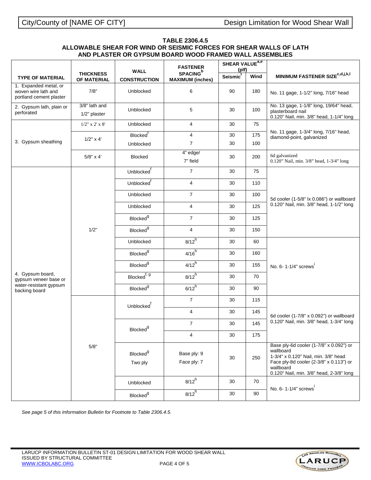#### **TABLE 2306.4.5 ALLOWABLE SHEAR FOR WIND OR SEISMIC FORCES FOR SHEAR WALLS OF LATH AND PLASTER OR GYPSUM BOARD WOOD FRAMED WALL ASSEMBLIES**

|                                                                         |                                 |                                    | <b>FASTENER</b>                                        | SHEAR VALUE <sup>a,e</sup><br>(plf) |      |                                                                                                                                                                                                  |  |  |
|-------------------------------------------------------------------------|---------------------------------|------------------------------------|--------------------------------------------------------|-------------------------------------|------|--------------------------------------------------------------------------------------------------------------------------------------------------------------------------------------------------|--|--|
| <b>TYPE OF MATERIAL</b>                                                 | <b>THICKNESS</b><br>OF MATERIAL | <b>WALL</b><br><b>CONSTRUCTION</b> | <b>SPACING</b> <sup>b</sup><br><b>MAXIMUM (inches)</b> | Seismic <sup>1</sup>                | Wind | MINIMUM FASTENER SIZE <sup>c,d,j,k,l</sup>                                                                                                                                                       |  |  |
| 1. Expanded metal, or<br>woven wire lath and<br>portland cement plaster | 7/8"                            | Unblocked                          | 6                                                      | 90                                  | 180  | No. 11 gage, 1-1/2" long, 7/16" head                                                                                                                                                             |  |  |
| 2. Gypsum lath, plain or<br>perforated                                  | 3/8" lath and<br>1/2" plaster   | Unblocked                          | 5                                                      | 30                                  | 100  | No. 13 gage, 1-1/8" long, 19/64" head,<br>plasterboard nail<br>0.120" Nail, min. 3/8" head, 1-1/4" long                                                                                          |  |  |
|                                                                         | $1/2$ " x 2' x 8'               | Unblocked                          | 4                                                      | 30                                  | 75   |                                                                                                                                                                                                  |  |  |
|                                                                         | $1/2" \times 4'$                | Blocked <sup>'</sup>               | 4                                                      | 30                                  | 175  | No. 11 gage, 1-3/4" long, 7/16" head,<br>diamond-point, galvanized                                                                                                                               |  |  |
| 3. Gypsum sheathing                                                     |                                 | Unblocked                          | $\overline{7}$                                         | 30                                  | 100  |                                                                                                                                                                                                  |  |  |
|                                                                         | $5/8$ " x 4'                    | <b>Blocked</b>                     | 4" edge/<br>7" field                                   | 30                                  | 200  | 6d galvanized<br>0.120" Nail, min. 3/8" head, 1-3/4" long                                                                                                                                        |  |  |
|                                                                         |                                 | Unblocked                          | $\overline{7}$                                         | 30                                  | 75   |                                                                                                                                                                                                  |  |  |
|                                                                         | 1/2"                            | Unblocked <sup>†</sup>             | 4                                                      | 30                                  | 110  |                                                                                                                                                                                                  |  |  |
|                                                                         |                                 | Unblocked                          | $\overline{7}$                                         | 30                                  | 100  | 5d cooler (1-5/8" lx 0.086") or wallboard                                                                                                                                                        |  |  |
|                                                                         |                                 | Unblocked                          | 4                                                      | 30                                  | 125  | 0.120" Nail, min. 3/8" head, 1-1/2" long                                                                                                                                                         |  |  |
|                                                                         |                                 | Blocked <sup>9</sup>               | $\overline{7}$                                         | 30                                  | 125  |                                                                                                                                                                                                  |  |  |
|                                                                         |                                 | Blocked <sup>9</sup>               | 4                                                      | 30                                  | 150  |                                                                                                                                                                                                  |  |  |
|                                                                         |                                 | Unblocked                          | $8/12^{h}$                                             | 30                                  | 60   |                                                                                                                                                                                                  |  |  |
|                                                                         |                                 | Blocked <sup>9</sup>               | $4/16^{\overline{h}}$                                  | 30                                  | 160  |                                                                                                                                                                                                  |  |  |
|                                                                         |                                 | Blocked <sup>9</sup>               | $4/12^{h}$                                             | 30                                  | 155  | No. 6-1-1/4" screws                                                                                                                                                                              |  |  |
| 4. Gypsum board,<br>gypsum veneer base or                               |                                 | Blocked <sup>f, g</sup>            | $8/12^{h}$                                             | 30                                  | 70   |                                                                                                                                                                                                  |  |  |
| water-resistant gypsum<br>backing board                                 |                                 | Blocked <sup>9</sup>               | $6/12^h$                                               | 30                                  | 90   |                                                                                                                                                                                                  |  |  |
|                                                                         |                                 | Unblocked <sup>†</sup>             | $\overline{7}$                                         | 30                                  | 115  |                                                                                                                                                                                                  |  |  |
|                                                                         |                                 |                                    | 4                                                      | 30                                  | 145  | 6d cooler (1-7/8" x 0.092") or wallboard                                                                                                                                                         |  |  |
|                                                                         |                                 | Blocked <sup>9</sup>               | $\overline{7}$                                         | 30                                  | 145  | 0.120" Nail, min. 3/8" head, 1-3/4" long                                                                                                                                                         |  |  |
|                                                                         | 5/8"                            |                                    | 4                                                      | 30                                  | 175  |                                                                                                                                                                                                  |  |  |
|                                                                         |                                 | Blocked <sup>9</sup><br>Two ply    | Base ply: 9<br>Face ply: 7                             | 30                                  | 250  | Base ply-6d cooler (1-7/8" x 0.092") or<br>wallboard<br>1-3/4" x 0.120" Nail, min. 3/8" head<br>Face ply-8d cooler (2-3/8" x 0.113") or<br>wallboard<br>0.120" Nail, min. 3/8" head, 2-3/8" long |  |  |
|                                                                         |                                 | Unblocked                          | $8/12^{h}$                                             | 30                                  | 70   | No. 6-1-1/4" screws                                                                                                                                                                              |  |  |
|                                                                         |                                 | Blocked <sup>9</sup>               | $8/12^{h}$                                             | 30                                  | 90   |                                                                                                                                                                                                  |  |  |

*See page 5 of this Information Bulletin for Footnote to Table 2306.4.5.*